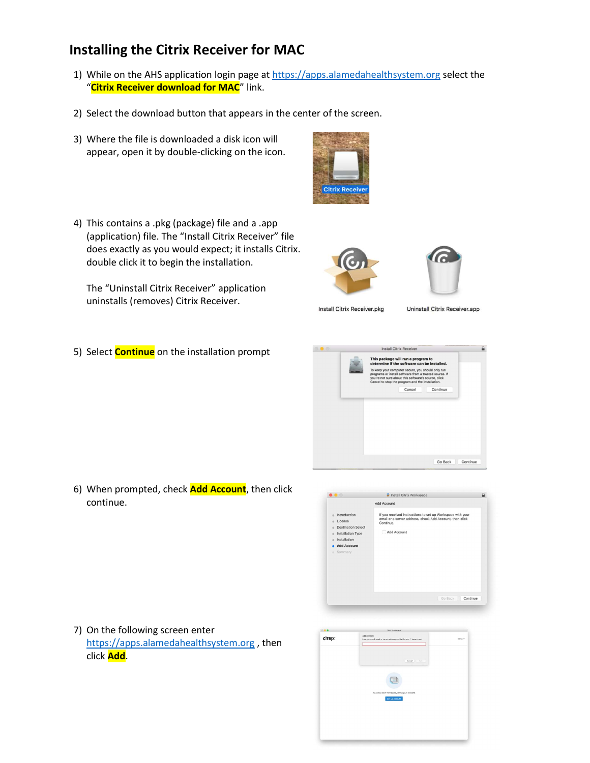## Installing the Citrix Receiver for MAC

- 1) While on the AHS application login page at https://apps.alamedahealthsystem.org select the "Citrix Receiver download for MAC" link.
- 2) Select the download button that appears in the center of the screen.
- 3) Where the file is downloaded a disk icon will appear, open it by double-clicking on the icon.



4) This contains a .pkg (package) file and a .app (application) file. The "Install Citrix Receiver" file does exactly as you would expect; it installs Citrix. double click it to begin the installation.

The "Uninstall Citrix Receiver" application uninstalls (removes) Citrix Receiver.

5) Select **Continue** on the installation prompt





Install Citrix Receiver.pkg

Uninstall Citrix Receiver.app



6) When prompted, check **Add Account**, then click continue.



7) On the following screen enter https://apps.alamedahealthsystem.org , then click <mark>Add</mark>.

| <b>DO</b>     | <b>Ellis's Gridayane</b>                                                            |         |
|---------------|-------------------------------------------------------------------------------------|---------|
| <b>CITRIX</b> | Add Account<br>from your tech word or verse address provided by your C departments. | Henry V |
|               | Carcael<br>An                                                                       |         |
|               |                                                                                     |         |
|               | To access your wanispace, set up your accessit.                                     |         |
|               | Set ub Account                                                                      |         |
|               |                                                                                     |         |
|               |                                                                                     |         |
|               |                                                                                     |         |
|               |                                                                                     |         |
|               |                                                                                     |         |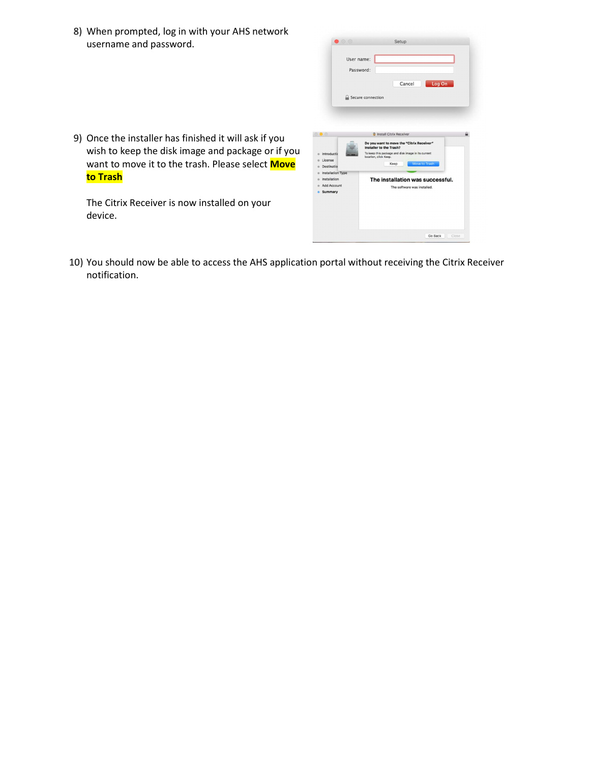8) When prompted, log in with your AHS network username and password.

| username and password.                                                                                                                                                                                                                | Setup<br>User name:<br>Password:<br>Log On<br>Cancel                                                                                                                                                                                                                                                                                                                                                                                                                 |
|---------------------------------------------------------------------------------------------------------------------------------------------------------------------------------------------------------------------------------------|----------------------------------------------------------------------------------------------------------------------------------------------------------------------------------------------------------------------------------------------------------------------------------------------------------------------------------------------------------------------------------------------------------------------------------------------------------------------|
| 9) Once the installer has finished it will ask if you<br>wish to keep the disk image and package or if you<br>want to move it to the trash. Please select Move<br>to Trash<br>The Citrix Receiver is now installed on your<br>device. | Secure connection<br><b>2</b> Install Citrix Receiver<br>Do you want to move the "Citrix Receiver"<br><b>Installer to the Trash?</b><br>To keep this package and disk image in its current<br>· Introducti<br>location, click Keep.<br>· License<br>Move to Trash<br>Keep<br><b>Destinatio</b><br><b>Installation Type</b><br>The installation was successful.<br>Installation<br>Add Account<br>The software was installed.<br><b>e</b> Summary<br>Go Back<br>Close |

10) You should now be able to access the AHS application portal without receiving the Citrix Receiver notification.